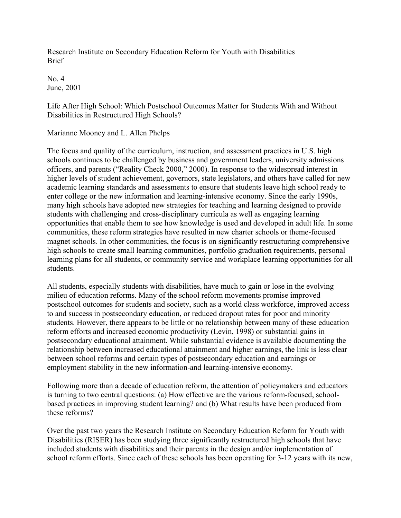Research Institute on Secondary Education Reform for Youth with Disabilities Brief

No. 4 June, 2001

Life After High School: Which Postschool Outcomes Matter for Students With and Without Disabilities in Restructured High Schools?

Marianne Mooney and L. Allen Phelps

The focus and quality of the curriculum, instruction, and assessment practices in U.S. high schools continues to be challenged by business and government leaders, university admissions officers, and parents ("Reality Check 2000," 2000). In response to the widespread interest in higher levels of student achievement, governors, state legislators, and others have called for new academic learning standards and assessments to ensure that students leave high school ready to enter college or the new information and learning-intensive economy. Since the early 1990s, many high schools have adopted new strategies for teaching and learning designed to provide students with challenging and cross-disciplinary curricula as well as engaging learning opportunities that enable them to see how knowledge is used and developed in adult life. In some communities, these reform strategies have resulted in new charter schools or theme-focused magnet schools. In other communities, the focus is on significantly restructuring comprehensive high schools to create small learning communities, portfolio graduation requirements, personal learning plans for all students, or community service and workplace learning opportunities for all students.

All students, especially students with disabilities, have much to gain or lose in the evolving milieu of education reforms. Many of the school reform movements promise improved postschool outcomes for students and society, such as a world class workforce, improved access to and success in postsecondary education, or reduced dropout rates for poor and minority students. However, there appears to be little or no relationship between many of these education reform efforts and increased economic productivity (Levin, 1998) or substantial gains in postsecondary educational attainment. While substantial evidence is available documenting the relationship between increased educational attainment and higher earnings, the link is less clear between school reforms and certain types of postsecondary education and earnings or employment stability in the new information-and learning-intensive economy.

Following more than a decade of education reform, the attention of policymakers and educators is turning to two central questions: (a) How effective are the various reform-focused, schoolbased practices in improving student learning? and (b) What results have been produced from these reforms?

Over the past two years the Research Institute on Secondary Education Reform for Youth with Disabilities (RISER) has been studying three significantly restructured high schools that have included students with disabilities and their parents in the design and/or implementation of school reform efforts. Since each of these schools has been operating for 3-12 years with its new,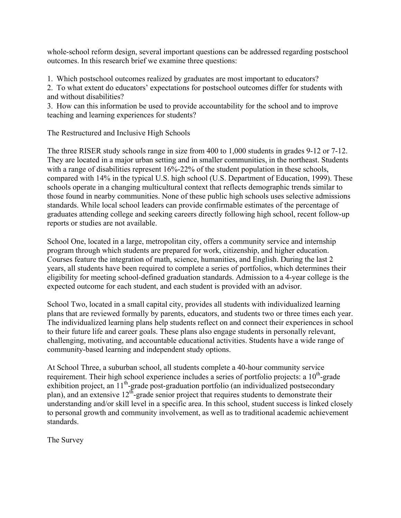whole-school reform design, several important questions can be addressed regarding postschool outcomes. In this research brief we examine three questions:

1. Which postschool outcomes realized by graduates are most important to educators?

2. To what extent do educators' expectations for postschool outcomes differ for students with and without disabilities?

3. How can this information be used to provide accountability for the school and to improve teaching and learning experiences for students?

The Restructured and Inclusive High Schools

The three RISER study schools range in size from 400 to 1,000 students in grades 9-12 or 7-12. They are located in a major urban setting and in smaller communities, in the northeast. Students with a range of disabilities represent  $16\% - 22\%$  of the student population in these schools, compared with 14% in the typical U.S. high school (U.S. Department of Education, 1999). These schools operate in a changing multicultural context that reflects demographic trends similar to those found in nearby communities. None of these public high schools uses selective admissions standards. While local school leaders can provide confirmable estimates of the percentage of graduates attending college and seeking careers directly following high school, recent follow-up reports or studies are not available.

School One, located in a large, metropolitan city, offers a community service and internship program through which students are prepared for work, citizenship, and higher education. Courses feature the integration of math, science, humanities, and English. During the last 2 years, all students have been required to complete a series of portfolios, which determines their eligibility for meeting school-defined graduation standards. Admission to a 4-year college is the expected outcome for each student, and each student is provided with an advisor.

School Two, located in a small capital city, provides all students with individualized learning plans that are reviewed formally by parents, educators, and students two or three times each year. The individualized learning plans help students reflect on and connect their experiences in school to their future life and career goals. These plans also engage students in personally relevant, challenging, motivating, and accountable educational activities. Students have a wide range of community-based learning and independent study options.

At School Three, a suburban school, all students complete a 40-hour community service requirement. Their high school experience includes a series of portfolio projects: a  $10<sup>th</sup>$ -grade exhibition project, an  $11<sup>th</sup>$ -grade post-graduation portfolio (an individualized postsecondary plan), and an extensive 12<sup>th</sup>-grade senior project that requires students to demonstrate their understanding and/or skill level in a specific area. In this school, student success is linked closely to personal growth and community involvement, as well as to traditional academic achievement standards.

The Survey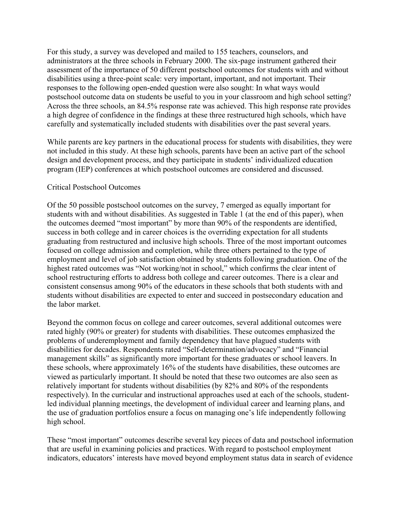For this study, a survey was developed and mailed to 155 teachers, counselors, and administrators at the three schools in February 2000. The six-page instrument gathered their assessment of the importance of 50 different postschool outcomes for students with and without disabilities using a three-point scale: very important, important, and not important. Their responses to the following open-ended question were also sought: In what ways would postschool outcome data on students be useful to you in your classroom and high school setting? Across the three schools, an 84.5% response rate was achieved. This high response rate provides a high degree of confidence in the findings at these three restructured high schools, which have carefully and systematically included students with disabilities over the past several years.

While parents are key partners in the educational process for students with disabilities, they were not included in this study. At these high schools, parents have been an active part of the school design and development process, and they participate in students' individualized education program (IEP) conferences at which postschool outcomes are considered and discussed.

### Critical Postschool Outcomes

Of the 50 possible postschool outcomes on the survey, 7 emerged as equally important for students with and without disabilities. As suggested in Table 1 (at the end of this paper), when the outcomes deemed "most important" by more than 90% of the respondents are identified, success in both college and in career choices is the overriding expectation for all students graduating from restructured and inclusive high schools. Three of the most important outcomes focused on college admission and completion, while three others pertained to the type of employment and level of job satisfaction obtained by students following graduation. One of the highest rated outcomes was "Not working/not in school," which confirms the clear intent of school restructuring efforts to address both college and career outcomes. There is a clear and consistent consensus among 90% of the educators in these schools that both students with and students without disabilities are expected to enter and succeed in postsecondary education and the labor market.

Beyond the common focus on college and career outcomes, several additional outcomes were rated highly (90% or greater) for students with disabilities. These outcomes emphasized the problems of underemployment and family dependency that have plagued students with disabilities for decades. Respondents rated "Self-determination/advocacy" and "Financial management skills" as significantly more important for these graduates or school leavers. In these schools, where approximately 16% of the students have disabilities, these outcomes are viewed as particularly important. It should be noted that these two outcomes are also seen as relatively important for students without disabilities (by 82% and 80% of the respondents respectively). In the curricular and instructional approaches used at each of the schools, studentled individual planning meetings, the development of individual career and learning plans, and the use of graduation portfolios ensure a focus on managing one's life independently following high school.

These "most important" outcomes describe several key pieces of data and postschool information that are useful in examining policies and practices. With regard to postschool employment indicators, educators' interests have moved beyond employment status data in search of evidence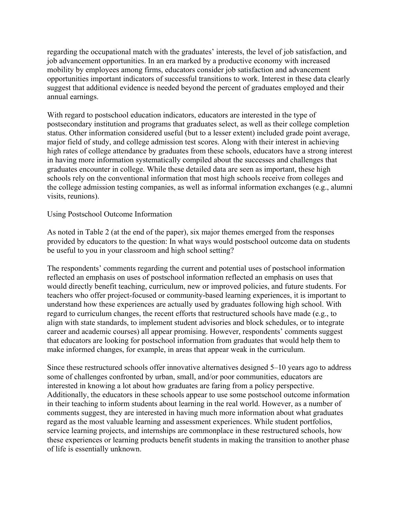regarding the occupational match with the graduates' interests, the level of job satisfaction, and job advancement opportunities. In an era marked by a productive economy with increased mobility by employees among firms, educators consider job satisfaction and advancement opportunities important indicators of successful transitions to work. Interest in these data clearly suggest that additional evidence is needed beyond the percent of graduates employed and their annual earnings.

With regard to postschool education indicators, educators are interested in the type of postsecondary institution and programs that graduates select, as well as their college completion status. Other information considered useful (but to a lesser extent) included grade point average, major field of study, and college admission test scores. Along with their interest in achieving high rates of college attendance by graduates from these schools, educators have a strong interest in having more information systematically compiled about the successes and challenges that graduates encounter in college. While these detailed data are seen as important, these high schools rely on the conventional information that most high schools receive from colleges and the college admission testing companies, as well as informal information exchanges (e.g., alumni visits, reunions).

Using Postschool Outcome Information

As noted in Table 2 (at the end of the paper), six major themes emerged from the responses provided by educators to the question: In what ways would postschool outcome data on students be useful to you in your classroom and high school setting?

The respondents' comments regarding the current and potential uses of postschool information reflected an emphasis on uses of postschool information reflected an emphasis on uses that would directly benefit teaching, curriculum, new or improved policies, and future students. For teachers who offer project-focused or community-based learning experiences, it is important to understand how these experiences are actually used by graduates following high school. With regard to curriculum changes, the recent efforts that restructured schools have made (e.g., to align with state standards, to implement student advisories and block schedules, or to integrate career and academic courses) all appear promising. However, respondents' comments suggest that educators are looking for postschool information from graduates that would help them to make informed changes, for example, in areas that appear weak in the curriculum.

Since these restructured schools offer innovative alternatives designed 5–10 years ago to address some of challenges confronted by urban, small, and/or poor communities, educators are interested in knowing a lot about how graduates are faring from a policy perspective. Additionally, the educators in these schools appear to use some postschool outcome information in their teaching to inform students about learning in the real world. However, as a number of comments suggest, they are interested in having much more information about what graduates regard as the most valuable learning and assessment experiences. While student portfolios, service learning projects, and internships are commonplace in these restructured schools, how these experiences or learning products benefit students in making the transition to another phase of life is essentially unknown.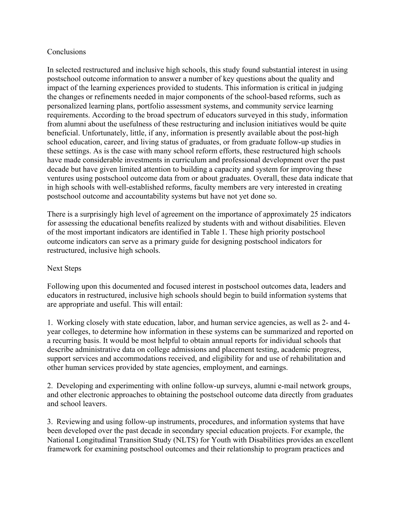# **Conclusions**

In selected restructured and inclusive high schools, this study found substantial interest in using postschool outcome information to answer a number of key questions about the quality and impact of the learning experiences provided to students. This information is critical in judging the changes or refinements needed in major components of the school-based reforms, such as personalized learning plans, portfolio assessment systems, and community service learning requirements. According to the broad spectrum of educators surveyed in this study, information from alumni about the usefulness of these restructuring and inclusion initiatives would be quite beneficial. Unfortunately, little, if any, information is presently available about the post-high school education, career, and living status of graduates, or from graduate follow-up studies in these settings. As is the case with many school reform efforts, these restructured high schools have made considerable investments in curriculum and professional development over the past decade but have given limited attention to building a capacity and system for improving these ventures using postschool outcome data from or about graduates. Overall, these data indicate that in high schools with well-established reforms, faculty members are very interested in creating postschool outcome and accountability systems but have not yet done so.

There is a surprisingly high level of agreement on the importance of approximately 25 indicators for assessing the educational benefits realized by students with and without disabilities. Eleven of the most important indicators are identified in Table 1. These high priority postschool outcome indicators can serve as a primary guide for designing postschool indicators for restructured, inclusive high schools.

### Next Steps

Following upon this documented and focused interest in postschool outcomes data, leaders and educators in restructured, inclusive high schools should begin to build information systems that are appropriate and useful. This will entail:

1. Working closely with state education, labor, and human service agencies, as well as 2- and 4 year colleges, to determine how information in these systems can be summarized and reported on a recurring basis. It would be most helpful to obtain annual reports for individual schools that describe administrative data on college admissions and placement testing, academic progress, support services and accommodations received, and eligibility for and use of rehabilitation and other human services provided by state agencies, employment, and earnings.

2. Developing and experimenting with online follow-up surveys, alumni e-mail network groups, and other electronic approaches to obtaining the postschool outcome data directly from graduates and school leavers.

3. Reviewing and using follow-up instruments, procedures, and information systems that have been developed over the past decade in secondary special education projects. For example, the National Longitudinal Transition Study (NLTS) for Youth with Disabilities provides an excellent framework for examining postschool outcomes and their relationship to program practices and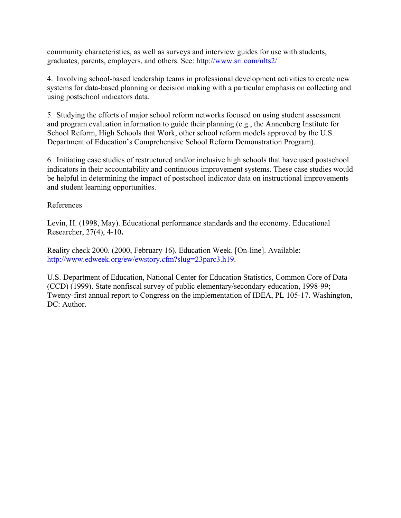community characteristics, as well as surveys and interview guides for use with students, graduates, parents, employers, and others. See: <http://www.sri.com/nlts2/>

4. Involving school-based leadership teams in professional development activities to create new systems for data-based planning or decision making with a particular emphasis on collecting and using postschool indicators data.

5. Studying the efforts of major school reform networks focused on using student assessment and program evaluation information to guide their planning (e.g., the Annenberg Institute for School Reform, High Schools that Work, other school reform models approved by the U.S. Department of Education's Comprehensive School Reform Demonstration Program).

6. Initiating case studies of restructured and/or inclusive high schools that have used postschool indicators in their accountability and continuous improvement systems. These case studies would be helpful in determining the impact of postschool indicator data on instructional improvements and student learning opportunities.

## References

Levin, H. (1998, May). Educational performance standards and the economy. Educational Researcher, 27(4), 4-10**.** 

Reality check 2000. (2000, February 16). Education Week. [On-line]. Available: <http://www.edweek.org/ew/ewstory.cfm?slug=23parc3.h19>.

U.S. Department of Education, National Center for Education Statistics, Common Core of Data (CCD) (1999). State nonfiscal survey of public elementary/secondary education, 1998-99; Twenty-first annual report to Congress on the implementation of IDEA, PL 105-17. Washington, DC: Author.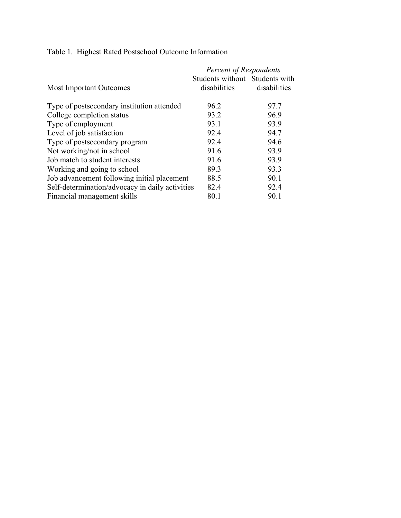|                                                 | <b>Percent of Respondents</b>                  |              |
|-------------------------------------------------|------------------------------------------------|--------------|
| <b>Most Important Outcomes</b>                  | Students without Students with<br>disabilities | disabilities |
| Type of postsecondary institution attended      | 96.2                                           | 97.7         |
| College completion status                       | 93.2                                           | 96.9         |
| Type of employment                              | 93.1                                           | 93.9         |
| Level of job satisfaction                       | 92.4                                           | 94.7         |
| Type of postsecondary program                   | 92.4                                           | 94.6         |
| Not working/not in school                       | 91.6                                           | 93.9         |
| Job match to student interests                  | 91.6                                           | 93.9         |
| Working and going to school                     | 89.3                                           | 93.3         |
| Job advancement following initial placement     | 88.5                                           | 90.1         |
| Self-determination/advocacy in daily activities | 82.4                                           | 92.4         |
| Financial management skills                     | 80.1                                           | 90.1         |

Table 1. Highest Rated Postschool Outcome Information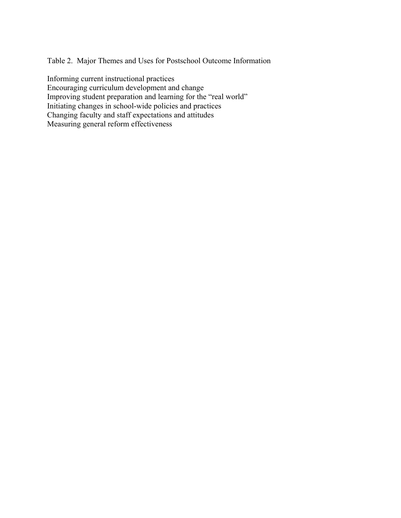Table 2. Major Themes and Uses for Postschool Outcome Information

Informing current instructional practices Encouraging curriculum development and change Improving student preparation and learning for the "real world" Initiating changes in school-wide policies and practices Changing faculty and staff expectations and attitudes Measuring general reform effectiveness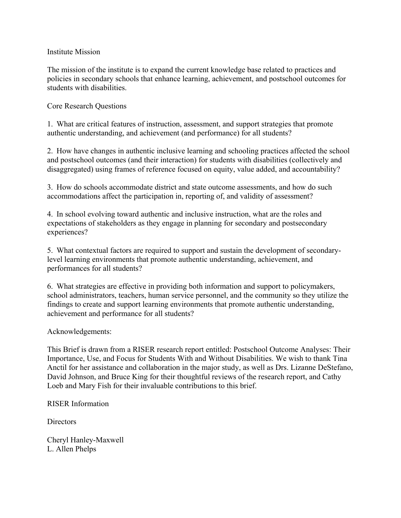### Institute Mission

The mission of the institute is to expand the current knowledge base related to practices and policies in secondary schools that enhance learning, achievement, and postschool outcomes for students with disabilities.

# Core Research Questions

1. What are critical features of instruction, assessment, and support strategies that promote authentic understanding, and achievement (and performance) for all students?

2. How have changes in authentic inclusive learning and schooling practices affected the school and postschool outcomes (and their interaction) for students with disabilities (collectively and disaggregated) using frames of reference focused on equity, value added, and accountability?

3. How do schools accommodate district and state outcome assessments, and how do such accommodations affect the participation in, reporting of, and validity of assessment?

4. In school evolving toward authentic and inclusive instruction, what are the roles and expectations of stakeholders as they engage in planning for secondary and postsecondary experiences?

5. What contextual factors are required to support and sustain the development of secondarylevel learning environments that promote authentic understanding, achievement, and performances for all students?

6. What strategies are effective in providing both information and support to policymakers, school administrators, teachers, human service personnel, and the community so they utilize the findings to create and support learning environments that promote authentic understanding, achievement and performance for all students?

### Acknowledgements:

This Brief is drawn from a RISER research report entitled: Postschool Outcome Analyses: Their Importance, Use, and Focus for Students With and Without Disabilities. We wish to thank Tina Anctil for her assistance and collaboration in the major study, as well as Drs. Lizanne DeStefano, David Johnson, and Bruce King for their thoughtful reviews of the research report, and Cathy Loeb and Mary Fish for their invaluable contributions to this brief.

RISER Information

Directors

Cheryl Hanley-Maxwell L. Allen Phelps